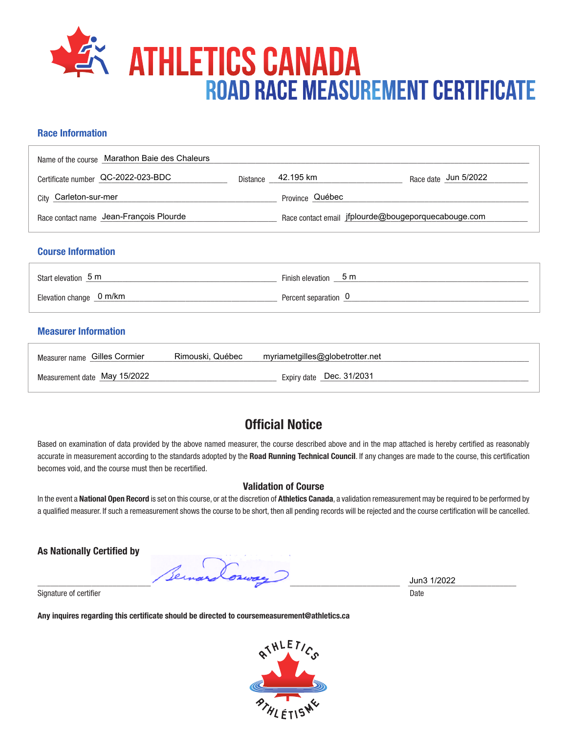# **ATHLETICS CANADA** Road Race Measurement Certificate

### **Race Information**

| Name of the course Marathon Baie des Chaleurs |          |                                                     |                      |
|-----------------------------------------------|----------|-----------------------------------------------------|----------------------|
| Certificate number QC-2022-023-BDC            | Distance | 42.195 km                                           | Race date Jun 5/2022 |
| City Carleton-sur-mer                         |          | Province Québec                                     |                      |
| Race contact name Jean-François Plourde       |          | Race contact email jfplourde@bougeporquecabouge.com |                      |
| <b>Course Information</b>                     |          |                                                     |                      |
| Start elevation 5 m                           |          | Finish elevation 5 m                                |                      |
| Elevation change 0 m/km                       |          | Percent separation 0                                |                      |
|                                               |          |                                                     |                      |

### **Measurer Information**

| Measurer name Gilles Cormier | Rimouski. Québec | myriametgilles@globetrotter.net |
|------------------------------|------------------|---------------------------------|
| Measurement date May 15/2022 |                  | Expiry date Dec. 31/2031        |

## **Official Notice**

Based on examination of data provided by the above named measurer, the course described above and in the map attached is hereby certified as reasonably accurate in measurement according to the standards adopted by the **Road Running Technical Council**. If any changes are made to the course, this certification becomes void, and the course must then be recertified.

#### **Validation of Course**

In the event a **National Open Record** is set on this course, or at the discretion of **Athletics Canada**, a validation remeasurement may be required to be performed by a qualified measurer. If such a remeasurement shows the course to be short, then all pending records will be rejected and the course certification will be cancelled.

**As Nationally Certified by**

 $\frac{3 \text{ cm}}{2 \text{ cm}}$   $\frac{3 \text{ cm}}{2 \text{ cm}}$   $\frac{3 \text{ cm}}{2 \text{ cm}}$   $\frac{3 \text{ cm}}{2 \text{ cm}}$   $\frac{3 \text{ cm}}{2 \text{ cm}}$   $\frac{3 \text{ cm}}{2 \text{ cm}}$   $\frac{3 \text{ cm}}{2 \text{ cm}}$   $\frac{3 \text{ cm}}{2 \text{ cm}}$   $\frac{3 \text{ cm}}{2 \text{ cm}}$   $\frac{3 \text{ cm}}{2 \text{ cm}}$   $\frac{3 \text{ cm}}{2 \text{ cm}}$   $\frac{3 \text{ cm}}{2$ 

Signature of certifier Date Date of Certifier and Contract of Certifier Date Date of Certifier and Date Date of Certifier and Date of Certifier and Date of Certifier and Date of Certifier and Date of Certifier and Date of

**Any inquires regarding this certificate should be directed to coursemeasurement@athletics.ca**



Jun3 1/2022